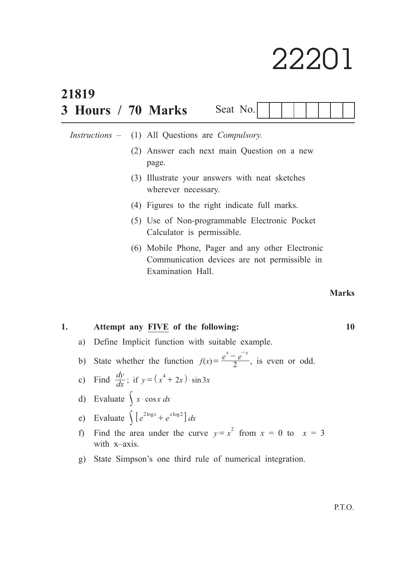# 22201

|    | 21819              |     |                                                                                                                   |              |  |  |  |
|----|--------------------|-----|-------------------------------------------------------------------------------------------------------------------|--------------|--|--|--|
|    | 3 Hours / 70 Marks |     | Seat No.                                                                                                          |              |  |  |  |
|    |                    |     | <i>Instructions –</i> (1) All Questions are <i>Compulsory</i> .                                                   |              |  |  |  |
|    |                    | (2) | Answer each next main Question on a new<br>page.                                                                  |              |  |  |  |
|    |                    |     | (3) Illustrate your answers with neat sketches<br>wherever necessary.                                             |              |  |  |  |
|    |                    |     | (4) Figures to the right indicate full marks.                                                                     |              |  |  |  |
|    |                    |     | (5) Use of Non-programmable Electronic Pocket<br>Calculator is permissible.                                       |              |  |  |  |
|    |                    | (6) | Mobile Phone, Pager and any other Electronic<br>Communication devices are not permissible in<br>Examination Hall. |              |  |  |  |
|    |                    |     |                                                                                                                   | <b>Marks</b> |  |  |  |
| 1. |                    |     | Attempt any FIVE of the following:                                                                                | 10           |  |  |  |

- a) Define Implicit function with suitable example.
- b) State whether the function  $f(x) = \frac{e^x e}{2}$  $=\frac{e^{x}-e^{-x}}{2}$ , is even or odd.

c) Find 
$$
\frac{dy}{dx}
$$
; if  $y = (x^4 + 2x) \cdot \sin 3x$ 

d) Evaluate 
$$
\int x \cdot \cos x \, dx
$$

e) Evaluate 
$$
\int [e^{2\log x} + e^{x\log 2}] dx
$$

- f) Find the area under the curve  $y = x^2$  from  $x = 0$  to  $x = 3$ with x–axis.
- g) State Simpson's one third rule of numerical integration.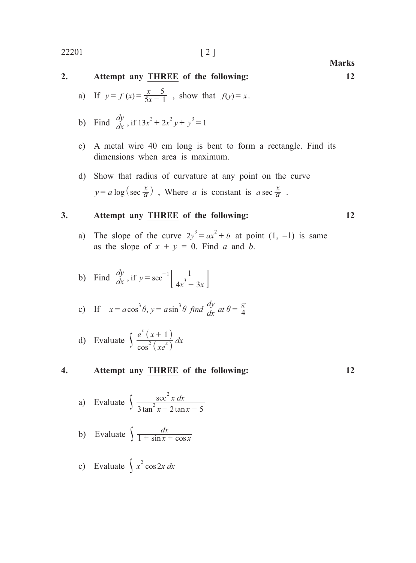# **2. Attempt any THREE of the following: 12** a) If  $y = f(x) = \frac{x}{5x}$  $= f (x) = \frac{x-5}{5x-1}$ , show that  $f(y) = x$ .

- b) Find  $\frac{dy}{dx}$ , if  $13x^2 + 2x^2y + y^3 = 1$
- c) A metal wire 40 cm long is bent to form a rectangle. Find its dimensions when area is maximum.
- d) Show that radius of curvature at any point on the curve  $y = a \log(\sec \frac{x}{a})$ , Where *a* is constant is *a* sec  $\frac{x}{a}$ .

## **3. Attempt any THREE of the following: 12**

a) The slope of the curve  $2y^3 = ax^2 + b$  at point  $(1, -1)$  is same as the slope of  $x + y = 0$ . Find *a* and *b*.

b) Find 
$$
\frac{dy}{dx}
$$
, if  $y = \sec^{-1} \left[ \frac{1}{4x^3 - 3x} \right]$ 

c) If 
$$
x = a \cos^3 \theta
$$
,  $y = a \sin^3 \theta$  find  $\frac{dy}{dx}$  at  $\theta = \frac{\pi}{4}$ 

d) Evaluate 
$$
\int \frac{e^x (x+1)}{\cos^2 (x e^x)} dx
$$

#### **4. Attempt any THREE of the following: 12**

a) Evaluate 
$$
\int \frac{\sec^2 x \, dx}{3 \tan^2 x - 2 \tan x - 5}
$$

b) Evaluate 
$$
\int \frac{dx}{1 + \sin x + \cos x}
$$

c) Evaluate 
$$
\int x^2 \cos 2x \, dx
$$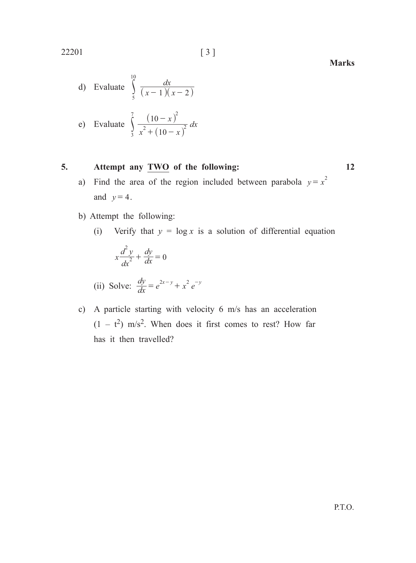22201 [ 3 ]

d) Evaluate 
$$
\int_{5}^{10} \frac{dx}{(x-1)(x-2)}
$$

e) Evaluate 
$$
\int_{3}^{7} \frac{(10-x)^2}{x^2 + (10-x)^2} dx
$$

# **5. Attempt any TWO of the following: 12**

- a) Find the area of the region included between parabola  $y = x^2$ and  $y=4$ .
- b) Attempt the following:
	- (i) Verify that  $y = \log x$  is a solution of differential equation

$$
x\frac{d^2y}{dx^2} + \frac{dy}{dx} = 0
$$

(ii) Solve: 
$$
\frac{dy}{dx} = e^{2x-y} + x^2 e^{-y}
$$

c) A particle starting with velocity 6 m/s has an acceleration  $(1 - t^2)$  m/s<sup>2</sup>. When does it first comes to rest? How far has it then travelled?

P.T.O.